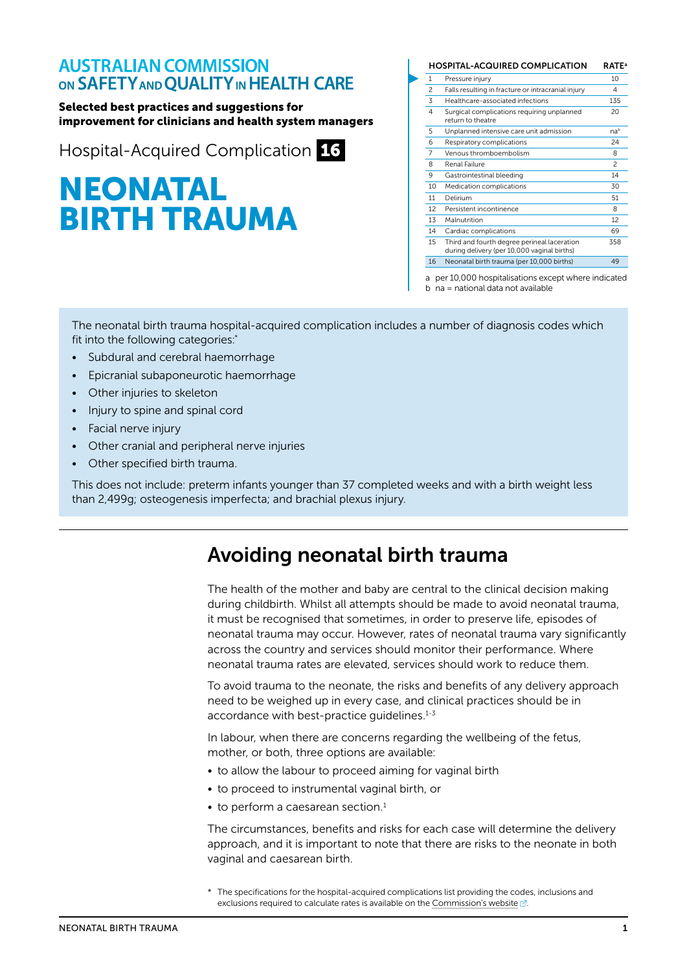#### **AUSTRALIAN COMMISSION** ON SAFETY AND QUALITY IN HEALTH CARE

Selected best practices and suggestions for improvement for clinicians and health system managers

Hospital-Acquired Complication 16

# NEONATAL BIRTH TRAUMA

| <b>HOSPITAL-ACQUIRED COMPLICATION</b> |                                                                                            |                          |
|---------------------------------------|--------------------------------------------------------------------------------------------|--------------------------|
| 1                                     | Pressure injury                                                                            | 10                       |
| $\mathfrak{p}$                        | Falls resulting in fracture or intracranial injury                                         | 4                        |
| 3                                     | Healthcare-associated infections                                                           | 135                      |
| 4                                     | Surgical complications requiring unplanned<br>return to theatre                            | 20                       |
| 5                                     | Unplanned intensive care unit admission                                                    | nab                      |
| 6                                     | Respiratory complications                                                                  | 24                       |
| 7                                     | Venous thromhoemholism                                                                     | 8                        |
| 8                                     | Renal Failure                                                                              | $\overline{\phantom{a}}$ |
| 9                                     | Gastrointestinal bleeding                                                                  | 14                       |
| 10                                    | Medication complications                                                                   | 30                       |
| 11                                    | Delirium                                                                                   | 51                       |
| 12                                    | Persistent incontinence                                                                    | 8                        |
| 13                                    | Malnutrition                                                                               | 12                       |
| 14                                    | Cardiac complications                                                                      | 69                       |
| 15                                    | Third and fourth degree perineal laceration<br>during delivery (per 10,000 vaginal births) | 358                      |
| 16                                    | Neonatal birth trauma (per 10,000 births)                                                  | 49                       |

a per 10,000 hospitalisations except where indicated

b na = national data not available

The neonatal birth trauma hospital-acquired complication includes a number of diagnosis codes which fit into the following categories:\*

- Subdural and cerebral haemorrhage
- Epicranial subaponeurotic haemorrhage
- Other injuries to skeleton
- Injury to spine and spinal cord
- Facial nerve injury
- Other cranial and peripheral nerve injuries
- Other specified birth trauma.

This does not include: preterm infants younger than 37 completed weeks and with a birth weight less than 2,499g; osteogenesis imperfecta; and brachial plexus injury.

## Avoiding neonatal birth trauma

The health of the mother and baby are central to the clinical decision making during childbirth. Whilst all attempts should be made to avoid neonatal trauma, it must be recognised that sometimes, in order to preserve life, episodes of neonatal trauma may occur. However, rates of neonatal trauma vary significantly across the country and services should monitor their performance. Where neonatal trauma rates are elevated, services should work to reduce them.

To avoid trauma to the neonate, the risks and benefits of any delivery approach need to be weighed up in every case, and clinical practices should be in accordance with best-practice quidelines.<sup>1-3</sup>

In labour, when there are concerns regarding the wellbeing of the fetus, mother, or both, three options are available:

- to allow the labour to proceed aiming for vaginal birth
- to proceed to instrumental vaginal birth, or
- $\bullet$  to perform a caesarean section.<sup>1</sup>

The circumstances, benefits and risks for each case will determine the delivery approach, and it is important to note that there are risks to the neonate in both vaginal and caesarean birth.

<sup>\*</sup> The specifications for the hospital-acquired complications list providing the codes, inclusions and exclusions required to calculate rates is available on the [Commission's website](https://www.safetyandquality.gov.au/our-work/indicators/hospital-acquired-complications/)  $\mathbb{Z}$ .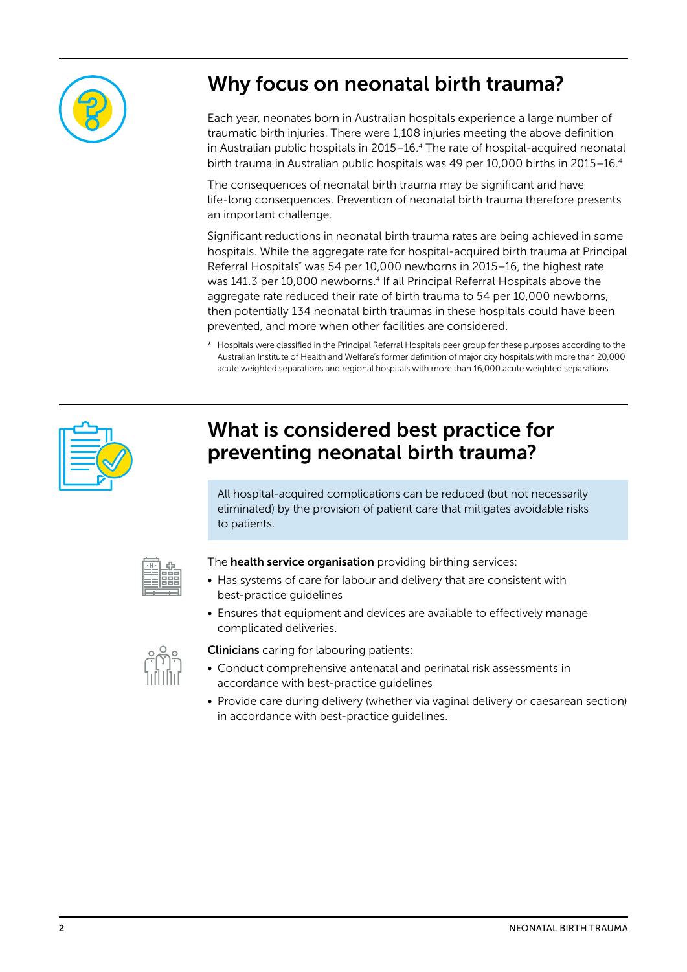

# Why focus on neonatal birth trauma?

Each year, neonates born in Australian hospitals experience a large number of traumatic birth injuries. There were 1,108 injuries meeting the above definition in Australian public hospitals in 2015–16.4 The rate of hospital-acquired neonatal birth trauma in Australian public hospitals was 49 per 10,000 births in 2015-16.4

The consequences of neonatal birth trauma may be significant and have life-long consequences. Prevention of neonatal birth trauma therefore presents an important challenge.

Significant reductions in neonatal birth trauma rates are being achieved in some hospitals. While the aggregate rate for hospital-acquired birth trauma at Principal Referral Hospitals\* was 54 per 10,000 newborns in 2015-16, the highest rate was 141.3 per 10,000 newborns.4 If all Principal Referral Hospitals above the aggregate rate reduced their rate of birth trauma to 54 per 10,000 newborns, then potentially 134 neonatal birth traumas in these hospitals could have been prevented, and more when other facilities are considered.

\* Hospitals were classified in the Principal Referral Hospitals peer group for these purposes according to the Australian Institute of Health and Welfare's former definition of major city hospitals with more than 20,000 acute weighted separations and regional hospitals with more than 16,000 acute weighted separations.



### What is considered best practice for preventing neonatal birth trauma?

All hospital-acquired complications can be reduced (but not necessarily eliminated) by the provision of patient care that mitigates avoidable risks to patients.



The **health service organisation** providing birthing services:

- Has systems of care for labour and delivery that are consistent with best-practice guidelines
- Ensures that equipment and devices are available to effectively manage complicated deliveries.



**Clinicians** caring for labouring patients:

- Conduct comprehensive antenatal and perinatal risk assessments in accordance with best-practice guidelines
- Provide care during delivery (whether via vaginal delivery or caesarean section) in accordance with best-practice guidelines.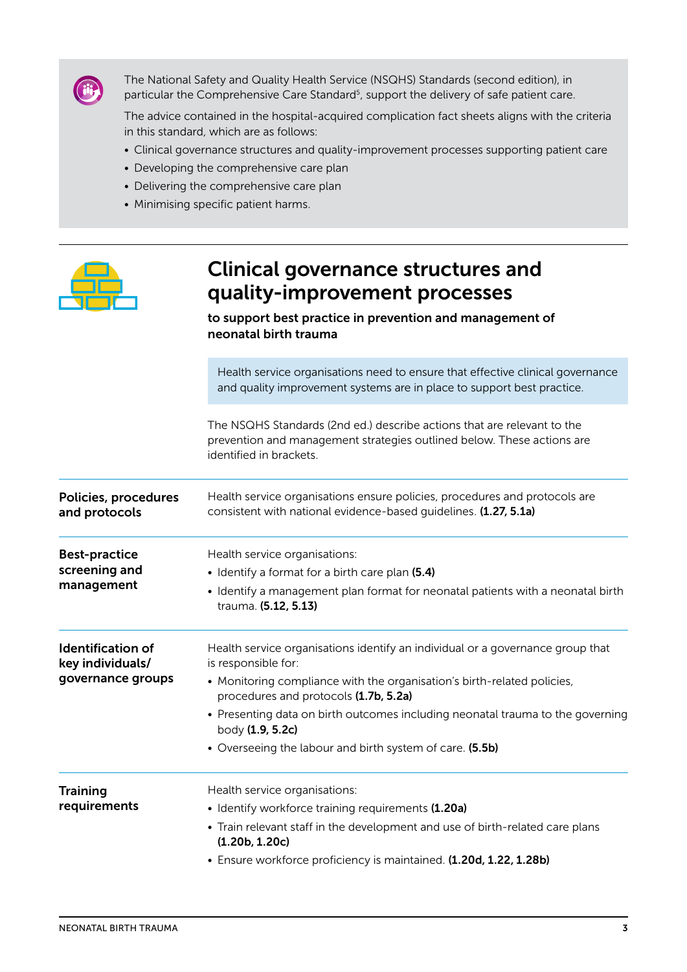

The National Safety and Quality Health Service (NSQHS) Standards (second edition), in particular the Comprehensive Care Standard<sup>5</sup>, support the delivery of safe patient care.

The advice contained in the hospital-acquired complication fact sheets aligns with the criteria in this standard, which are as follows:

- Clinical governance structures and quality-improvement processes supporting patient care
- Developing the comprehensive care plan
- Delivering the comprehensive care plan
- Minimising specific patient harms.

|                                                                   | <b>Clinical governance structures and</b><br>quality-improvement processes<br>to support best practice in prevention and management of<br>neonatal birth trauma                                                                                                                                                                                                                             |  |
|-------------------------------------------------------------------|---------------------------------------------------------------------------------------------------------------------------------------------------------------------------------------------------------------------------------------------------------------------------------------------------------------------------------------------------------------------------------------------|--|
|                                                                   | Health service organisations need to ensure that effective clinical governance<br>and quality improvement systems are in place to support best practice.                                                                                                                                                                                                                                    |  |
|                                                                   | The NSQHS Standards (2nd ed.) describe actions that are relevant to the<br>prevention and management strategies outlined below. These actions are<br>identified in brackets.                                                                                                                                                                                                                |  |
| Policies, procedures<br>and protocols                             | Health service organisations ensure policies, procedures and protocols are<br>consistent with national evidence-based quidelines. (1.27, 5.1a)                                                                                                                                                                                                                                              |  |
| <b>Best-practice</b><br>screening and<br>management               | Health service organisations:<br>• Identify a format for a birth care plan (5.4)<br>• Identify a management plan format for neonatal patients with a neonatal birth<br>trauma. (5.12, 5.13)                                                                                                                                                                                                 |  |
| <b>Identification of</b><br>key individuals/<br>governance groups | Health service organisations identify an individual or a governance group that<br>is responsible for:<br>• Monitoring compliance with the organisation's birth-related policies,<br>procedures and protocols (1.7b, 5.2a)<br>• Presenting data on birth outcomes including neonatal trauma to the governing<br>body (1.9, 5.2c)<br>• Overseeing the labour and birth system of care. (5.5b) |  |
| Training<br>requirements                                          | Health service organisations:<br>• Identify workforce training requirements (1.20a)<br>• Train relevant staff in the development and use of birth-related care plans<br>(1.20b, 1.20c)<br>• Ensure workforce proficiency is maintained. (1.20d, 1.22, 1.28b)                                                                                                                                |  |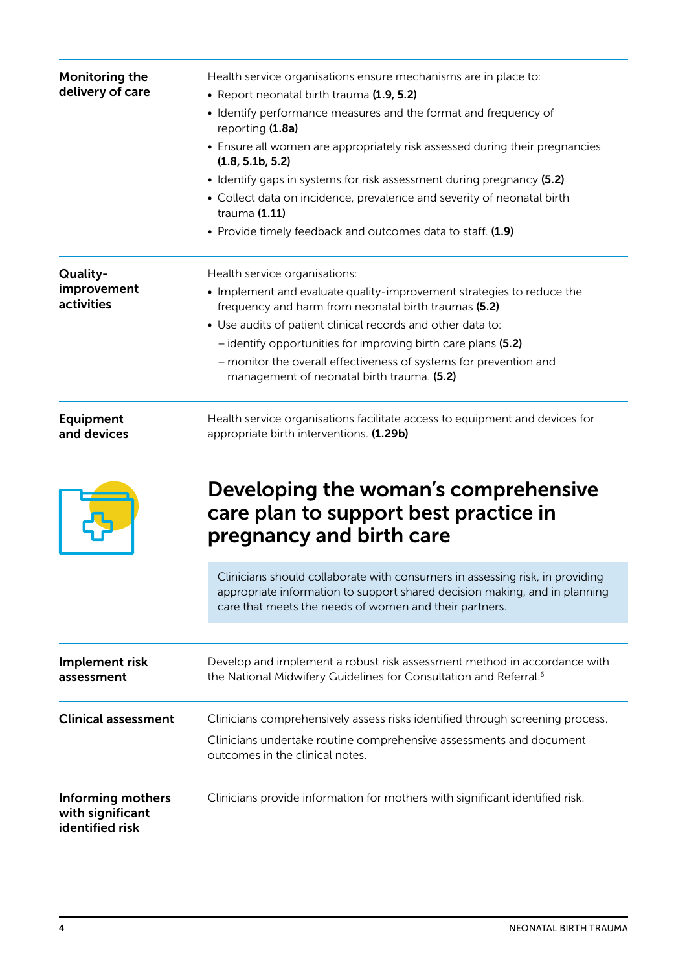| Monitoring the<br>delivery of care                       | Health service organisations ensure mechanisms are in place to:<br>• Report neonatal birth trauma (1.9, 5.2)                                                                                                         |
|----------------------------------------------------------|----------------------------------------------------------------------------------------------------------------------------------------------------------------------------------------------------------------------|
|                                                          | • Identify performance measures and the format and frequency of<br>reporting (1.8a)                                                                                                                                  |
|                                                          | • Ensure all women are appropriately risk assessed during their pregnancies<br>(1.8, 5.1b, 5.2)                                                                                                                      |
|                                                          | • Identify gaps in systems for risk assessment during pregnancy (5.2)                                                                                                                                                |
|                                                          | • Collect data on incidence, prevalence and severity of neonatal birth<br>trauma (1.11)                                                                                                                              |
|                                                          | • Provide timely feedback and outcomes data to staff. (1.9)                                                                                                                                                          |
| Quality-                                                 | Health service organisations:                                                                                                                                                                                        |
| improvement<br>activities                                | • Implement and evaluate quality-improvement strategies to reduce the<br>frequency and harm from neonatal birth traumas (5.2)                                                                                        |
|                                                          | • Use audits of patient clinical records and other data to:                                                                                                                                                          |
|                                                          | - identify opportunities for improving birth care plans (5.2)                                                                                                                                                        |
|                                                          | - monitor the overall effectiveness of systems for prevention and<br>management of neonatal birth trauma. (5.2)                                                                                                      |
| <b>Equipment</b><br>and devices                          | Health service organisations facilitate access to equipment and devices for<br>appropriate birth interventions. (1.29b)                                                                                              |
|                                                          | Developing the woman's comprehensive<br>care plan to support best practice in<br>pregnancy and birth care                                                                                                            |
|                                                          | Clinicians should collaborate with consumers in assessing risk, in providing<br>appropriate information to support shared decision making, and in planning<br>care that meets the needs of women and their partners. |
| Implement risk<br>assessment                             | Develop and implement a robust risk assessment method in accordance with<br>the National Midwifery Guidelines for Consultation and Referral. <sup>6</sup>                                                            |
| <b>Clinical assessment</b>                               | Clinicians comprehensively assess risks identified through screening process.                                                                                                                                        |
|                                                          | Clinicians undertake routine comprehensive assessments and document<br>outcomes in the clinical notes.                                                                                                               |
| Informing mothers<br>with significant<br>identified risk | Clinicians provide information for mothers with significant identified risk.                                                                                                                                         |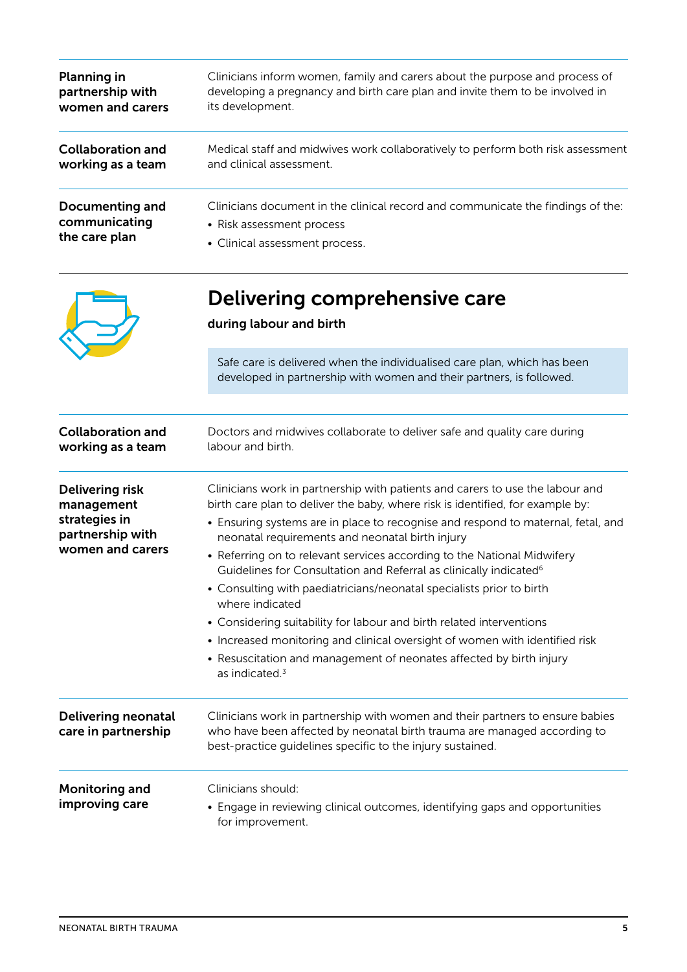| <b>Planning in</b><br>partnership with<br>women and carers                                    | Clinicians inform women, family and carers about the purpose and process of<br>developing a pregnancy and birth care plan and invite them to be involved in<br>its development.                                                                                                                                                                                                                                                                                                                                                                                                                                                                                                                                                                                                                                           |  |
|-----------------------------------------------------------------------------------------------|---------------------------------------------------------------------------------------------------------------------------------------------------------------------------------------------------------------------------------------------------------------------------------------------------------------------------------------------------------------------------------------------------------------------------------------------------------------------------------------------------------------------------------------------------------------------------------------------------------------------------------------------------------------------------------------------------------------------------------------------------------------------------------------------------------------------------|--|
| <b>Collaboration and</b><br>working as a team                                                 | Medical staff and midwives work collaboratively to perform both risk assessment<br>and clinical assessment.                                                                                                                                                                                                                                                                                                                                                                                                                                                                                                                                                                                                                                                                                                               |  |
| <b>Documenting and</b><br>communicating<br>the care plan                                      | Clinicians document in the clinical record and communicate the findings of the:<br>• Risk assessment process<br>• Clinical assessment process.                                                                                                                                                                                                                                                                                                                                                                                                                                                                                                                                                                                                                                                                            |  |
|                                                                                               | Delivering comprehensive care<br>during labour and birth                                                                                                                                                                                                                                                                                                                                                                                                                                                                                                                                                                                                                                                                                                                                                                  |  |
|                                                                                               | Safe care is delivered when the individualised care plan, which has been<br>developed in partnership with women and their partners, is followed.                                                                                                                                                                                                                                                                                                                                                                                                                                                                                                                                                                                                                                                                          |  |
| <b>Collaboration and</b><br>working as a team                                                 | Doctors and midwives collaborate to deliver safe and quality care during<br>labour and birth.                                                                                                                                                                                                                                                                                                                                                                                                                                                                                                                                                                                                                                                                                                                             |  |
| <b>Delivering risk</b><br>management<br>strategies in<br>partnership with<br>women and carers | Clinicians work in partnership with patients and carers to use the labour and<br>birth care plan to deliver the baby, where risk is identified, for example by:<br>• Ensuring systems are in place to recognise and respond to maternal, fetal, and<br>neonatal requirements and neonatal birth injury<br>• Referring on to relevant services according to the National Midwifery<br>Guidelines for Consultation and Referral as clinically indicated <sup>6</sup><br>• Consulting with paediatricians/neonatal specialists prior to birth<br>where indicated<br>• Considering suitability for labour and birth related interventions<br>• Increased monitoring and clinical oversight of women with identified risk<br>• Resuscitation and management of neonates affected by birth injury<br>as indicated. <sup>3</sup> |  |
| Delivering neonatal<br>care in partnership                                                    | Clinicians work in partnership with women and their partners to ensure babies<br>who have been affected by neonatal birth trauma are managed according to<br>best-practice guidelines specific to the injury sustained.                                                                                                                                                                                                                                                                                                                                                                                                                                                                                                                                                                                                   |  |
| <b>Monitoring and</b><br>improving care                                                       | Clinicians should:<br>• Engage in reviewing clinical outcomes, identifying gaps and opportunities<br>for improvement.                                                                                                                                                                                                                                                                                                                                                                                                                                                                                                                                                                                                                                                                                                     |  |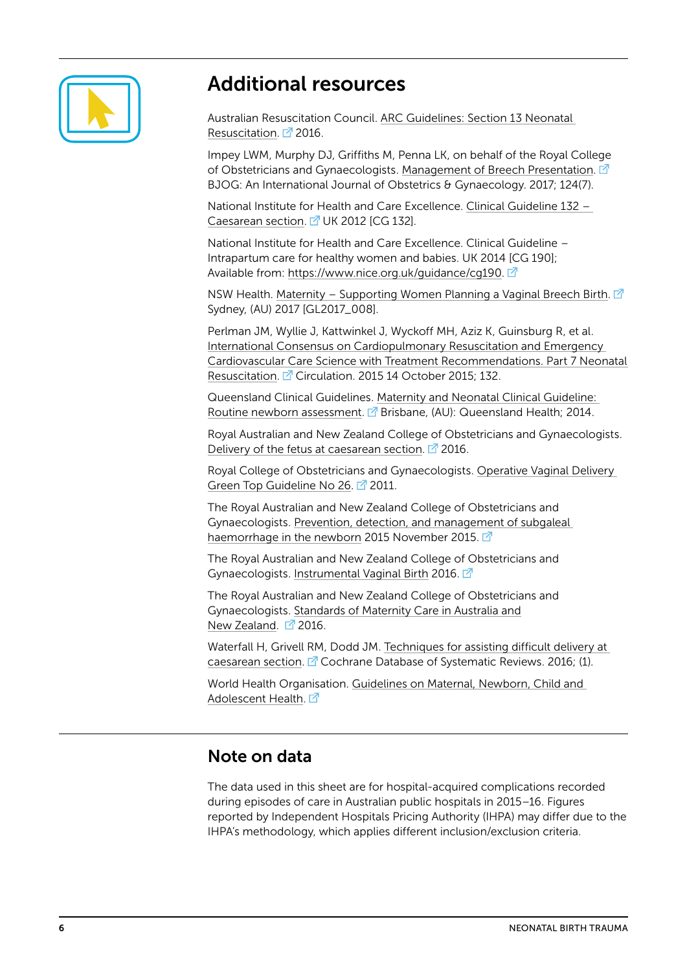

### Additional resources

Australian Resuscitation Council. [ARC Guidelines: Section 13 Neonatal](https://resus.org.au/guidelines/)  [Resuscitation](https://resus.org.au/guidelines/).  $2$  2016.

Impey LWM, Murphy DJ, Griffiths M, Penna LK, on behalf of the Royal College of Obstetricians and Gynaecologists. [Management of Breech Presentation](https://dx.doi.org/10.1111/1471-0528.14465).  $\vec{a}$ BJOG: An International Journal of Obstetrics & Gynaecology. 2017; 124(7).

National Institute for Health and Care Excellence. [Clinical Guideline 132 –](https://www.nice.org.uk/guidance/cg132/resources/caesarean-section-pdf-35109507009733)  [Caesarean section.](https://www.nice.org.uk/guidance/cg132/resources/caesarean-section-pdf-35109507009733) <sup>7</sup> UK 2012 [CG 132].

National Institute for Health and Care Excellence. Clinical Guideline – Intrapartum care for healthy women and babies. UK 2014 [CG 190]; Available from: [https://www.nice.org.uk/guidance/cg190.](https://www.nice.org.uk/guidance/cg190)

NSW Health. [Maternity – Supporting Women Planning a Vaginal Breech Birth.](http://www1.health.nsw.gov.au/pds/ActivePDSDocuments/GL2017_008.pdf)  $\Box$ Sydney, (AU) 2017 [GL2017\_008].

Perlman JM, Wyllie J, Kattwinkel J, Wyckoff MH, Aziz K, Guinsburg R, et al. [International Consensus on Cardiopulmonary Resuscitation and Emergency](http://circ.ahajournals.org/content/132/16_suppl_1/S204.long)  [Cardiovascular Care Science with Treatment Recommendations. Part 7 Neonatal](http://circ.ahajournals.org/content/132/16_suppl_1/S204.long)  [Resuscitation](http://circ.ahajournals.org/content/132/16_suppl_1/S204.long). <sup>7</sup> Circulation. 2015 14 October 2015: 132.

Queensland Clinical Guidelines. [Maternity and Neonatal Clinical Guideline:](https://www.health.qld.gov.au/__data/assets/pdf_file/0029/141689/g-newexam.pdf)  [Routine newborn assessment.](https://www.health.qld.gov.au/__data/assets/pdf_file/0029/141689/g-newexam.pdf)  $\mathbb{Z}$  Brisbane, (AU): Queensland Health; 2014.

Royal Australian and New Zealand College of Obstetricians and Gynaecologists. [Delivery of the fetus at caesarean section](https://www.ranzcog.edu.au/RANZCOG_SITE/media/RANZCOG-MEDIA/Women%27s%20Health/Statement%20and%20guidelines/Clinical-Obstetrics/Delivery-of-fetus-at-caesarean-section-(C-Obs-37)-Review-November-2016_1.pdf?ext=.pdf).  $\mathbb{Z}^7$  2016.

Royal College of Obstetricians and Gynaecologists. [Operative Vaginal Delivery](https://www.rcog.org.uk/globalassets/documents/guidelines/gtg_26.pdf)  [Green Top Guideline No 26](https://www.rcog.org.uk/globalassets/documents/guidelines/gtg_26.pdf). 2011.

The Royal Australian and New Zealand College of Obstetricians and Gynaecologists. [Prevention, detection, and management of subgaleal](https://www.ranzcog.edu.au/RANZCOG_SITE/media/RANZCOG-MEDIA/Women%27s%20Health/Statement%20and%20guidelines/Clinical-Obstetrics/Prevention-detection-and-management-of-Subgaleal-Haemorrhage-(C-Obs-28)-Review-November-2015.pdf?ext=.pdf)  [haemorrhage in the newborn](https://www.ranzcog.edu.au/RANZCOG_SITE/media/RANZCOG-MEDIA/Women%27s%20Health/Statement%20and%20guidelines/Clinical-Obstetrics/Prevention-detection-and-management-of-Subgaleal-Haemorrhage-(C-Obs-28)-Review-November-2015.pdf?ext=.pdf) 2015 November 2015.

The Royal Australian and New Zealand College of Obstetricians and Gynaecologists. [Instrumental Vaginal Birth](https://www.ranzcog.edu.au/RANZCOG_SITE/media/RANZCOG-MEDIA/Women%27s%20Health/Statement%20and%20guidelines/Clinical-Obstetrics/Instrumental-Vaginal-Birth-(C-Obs-16)-Review-March-2016.pdf?ext=.pdf) 2016.

The Royal Australian and New Zealand College of Obstetricians and Gynaecologists. [Standards of Maternity Care in Australia and](https://www.ranzcog.edu.au/RANZCOG_SITE/media/RANZCOG-MEDIA/Women) [New Zealand](https://www.ranzcog.edu.au/RANZCOG_SITE/media/RANZCOG-MEDIA/Women).  $2016$ .

Waterfall H, Grivell RM, Dodd JM. [Techniques for assisting difficult delivery at](http://dx.doi.org/10.1002/14651858.CD004944.pub3)  [caesarean section.](http://dx.doi.org/10.1002/14651858.CD004944.pub3) <sup>7</sup> Cochrane Database of Systematic Reviews. 2016; (1).

World Health Organisation. [Guidelines on Maternal, Newborn, Child and](http://www.who.int/maternal_child_adolescent/guidelines/en/)  [Adolescent Health.](http://www.who.int/maternal_child_adolescent/guidelines/en/) F

#### Note on data

The data used in this sheet are for hospital-acquired complications recorded during episodes of care in Australian public hospitals in 2015–16. Figures reported by Independent Hospitals Pricing Authority (IHPA) may differ due to the IHPA's methodology, which applies different inclusion/exclusion criteria.